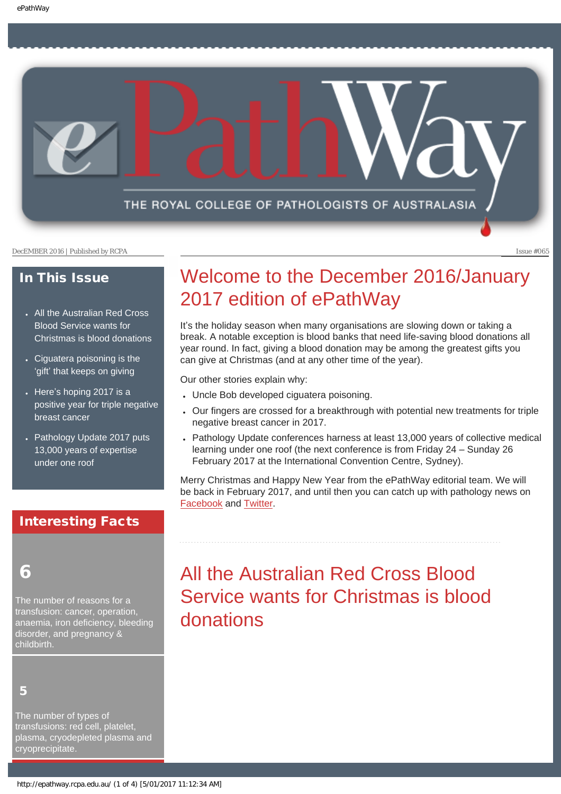THE ROYAL COLLEGE OF PATHOLOGISTS OF AUSTRALASIA

DecEMBER 2016 | Published by RCPA Issue #065

### In This Issue

- [All the Australian Red Cross](#page-0-0)  [Blood Service wants for](#page-0-0) [Christmas is blood donations](#page-0-0)
- Ciguatera poisoning is the 'gift' [that keeps on giving](#page-1-0)
- Here'[s hoping 2017 is a](#page-2-0) [positive year for triple negative](#page-2-0)  [breast cancer](#page-2-0)
- Pathology Update 2017 puts [13,000 years of expertise](#page-2-1) [under one roof](#page-2-1)

# Interesting Facts

# <span id="page-0-0"></span>6

The number of reasons for a transfusion: cancer, operation, anaemia, iron deficiency, bleeding disorder, and pregnancy & childbirth.

5

The number of types of transfusions: red cell, platelet, plasma, cryodepleted plasma and cryoprecipitate.

# Welcome to the December 2016/January 2017 edition of ePathWay

It's the holiday season when many organisations are slowing down or taking a break. A notable exception is blood banks that need life-saving blood donations all year round. In fact, giving a blood donation may be among the greatest gifts you can give at Christmas (and at any other time of the year).

Our other stories explain why:

- Uncle Bob developed ciguatera poisoning.
- Our fingers are crossed for a breakthrough with potential new treatments for triple negative breast cancer in 2017.
- Pathology Update conferences harness at least 13,000 years of collective medical learning under one roof (the next conference is from Friday 24 – Sunday 26 February 2017 at the International Convention Centre, Sydney).

Merry Christmas and Happy New Year from the ePathWay editorial team. We will be back in February 2017, and until then you can catch up with pathology news on [Facebook](https://www.facebook.com/TheRoyalCollegeOfPathologistsOfAustralasia/) and [Twitter](https://twitter.com/pathologyrcpa).

# All the Australian Red Cross Blood Service wants for Christmas is blood donations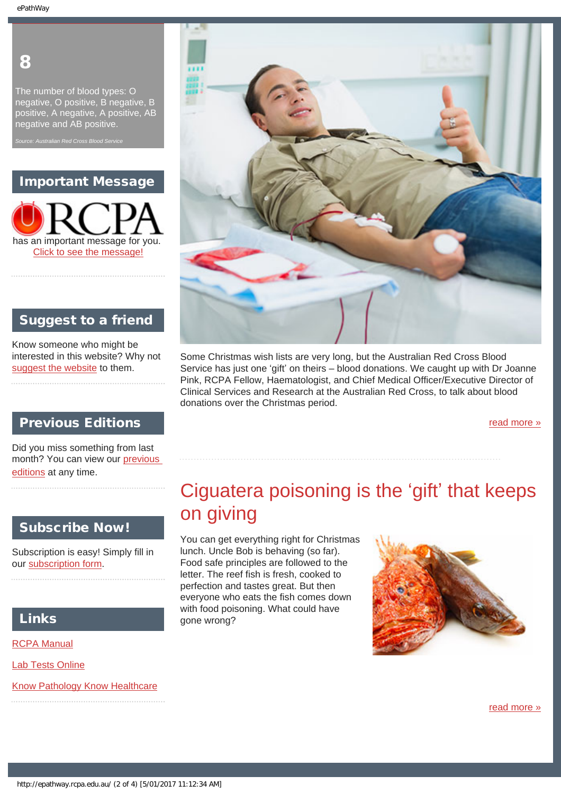# 8

The number of blood types: O negative, O positive, B negative, B positive, A negative, A positive, AB negative and AB positive.

*Source: Australian Red Cross Blood Service*

### Important Message



### Suggest to a friend

Know someone who might be interested in this website? Why not [suggest the website](mailto:?Subject=I%20think%20you%20should%20read%20this%20Newsletter=
http://epathway.rcpa.edu.au/index.html) to them.

### Previous Editions

Did you miss something from last month? You can view our [previous](#page-5-0) [editions](#page-5-0) at any time.

<span id="page-1-0"></span>

### Subscribe Now!

Subscription is easy! Simply fill in our [subscription form](#page-7-0).

## Links

[RCPA Manual](http://rcpamanual.edu.au/)

[Lab Tests Online](http://www.labtestsonline.org.au/)

[Know Pathology Know Healthcare](http://knowpathology.com.au/)



Some Christmas wish lists are very long, but the Australian Red Cross Blood Service has just one 'gift' on theirs – blood donations. We caught up with Dr Joanne Pink, RCPA Fellow, Haematologist, and Chief Medical Officer/Executive Director of Clinical Services and Research at the Australian Red Cross, to talk about blood donations over the Christmas period.

[read more »](#page-8-0)

# Ciguatera poisoning is the 'gift' that keeps on giving

You can get everything right for Christmas lunch. Uncle Bob is behaving (so far). Food safe principles are followed to the letter. The reef fish is fresh, cooked to perfection and tastes great. But then everyone who eats the fish comes down with food poisoning. What could have gone wrong?



[read more »](#page-10-0)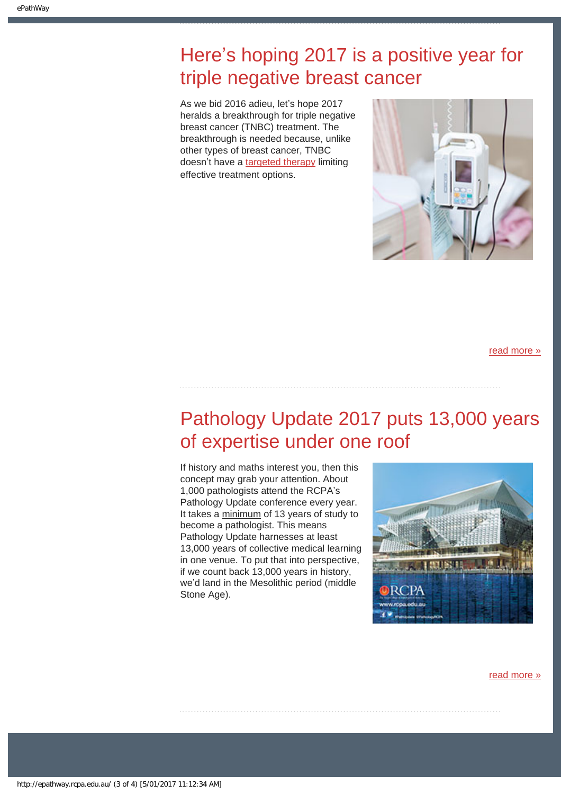# <span id="page-2-0"></span>Here's hoping 2017 is a positive year for triple negative breast cancer

As we bid 2016 adieu, let's hope 2017 heralds a breakthrough for triple negative breast cancer (TNBC) treatment. The breakthrough is needed because, unlike other types of breast cancer, TNBC doesn't have a [targeted therapy](http://www.rcpa.edu.au/getattachment/250f7b77-7ffc-47ad-aa0f-5b8b1856bddf/ePathway-Issue-013.aspx) limiting effective treatment options.



[read more »](#page-12-0)

# <span id="page-2-1"></span>Pathology Update 2017 puts 13,000 years of expertise under one roof

If history and maths interest you, then this concept may grab your attention. About 1,000 pathologists attend the RCPA's Pathology Update conference every year. It takes a minimum of 13 years of study to become a pathologist. This means Pathology Update harnesses at least 13,000 years of collective medical learning in one venue. To put that into perspective, if we count back 13,000 years in history, we'd land in the Mesolithic period (middle Stone Age).



[read more »](#page-14-0)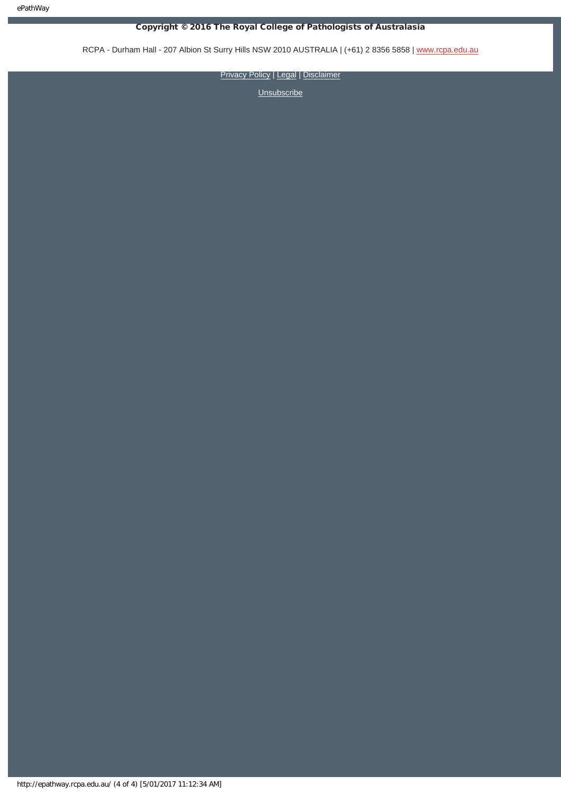### Copyright © 2016 The Royal College of Pathologists of Australasia

RCPA - Durham Hall - 207 Albion St Surry Hills NSW 2010 AUSTRALIA | (+61) 2 8356 5858 | [www.rcpa.edu.au](https://www.rcpa.edu.au/)

[Privacy Policy](https://www.rcpa.edu.au/Privacy-Policy.aspx) | [Legal](https://www.rcpa.edu.au/Legal.aspx) | [Disclaimer](https://www.rcpa.edu.au/Disclaimer.aspx)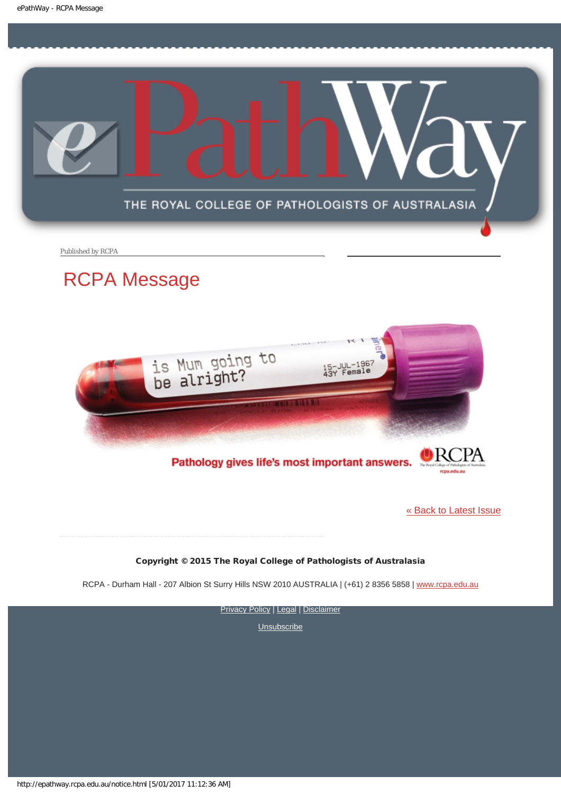<span id="page-4-0"></span>

Published by RCPA

# RCPA Message



Pathology gives life's most important answers.

[« Back to Latest Issue](http://epathway.rcpa.edu.au/index.html)

Copyright © 2015 The Royal College of Pathologists of Australasia

RCPA - Durham Hall - 207 Albion St Surry Hills NSW 2010 AUSTRALIA | (+61) 2 8356 5858 | [www.rcpa.edu.au](https://www.rcpa.edu.au/)

**[Privacy Policy](https://www.rcpa.edu.au/Content-Library/Privacy.aspx) | [Legal](https://www.rcpa.edu.au/Legal.aspx) | [Disclaimer](https://www.rcpa.edu.au/Disclaimer.aspx)**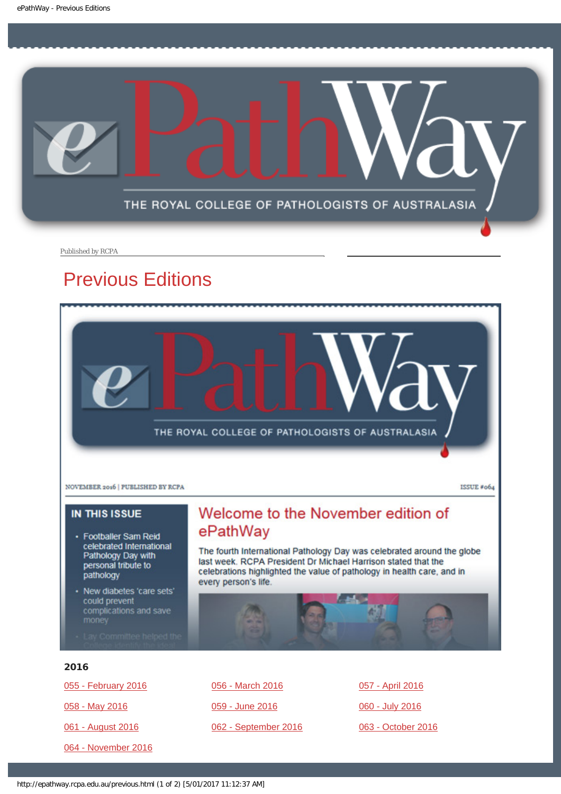<span id="page-5-0"></span>

Published by RCPA

# Previous Editions



### **IN THIS ISSUE**

- · Footballer Sam Reid celebrated International Pathology Day with<br>personal tribute to pathology
- · New diabetes 'care sets' could prevent complications and save
- 

# Welcome to the November edition of ePathWay

The fourth International Pathology Day was celebrated around the globe last week. RCPA President Dr Michael Harrison stated that the celebrations highlighted the value of pathology in health care, and in every person's life.

### 2016

[055 - February 2016](http://epathway.rcpa.edu.au/previous/055_0216.pdf) [058 - May 2016](http://epathway.rcpa.edu.au/previous/058_0516.pdf) [061 - August 2016](http://epathway.rcpa.edu.au/previous/061_0816.pdf)

[064 - November 2016](http://epathway.rcpa.edu.au/previous/064_1116.pdf)

[056 - March 2016](http://epathway.rcpa.edu.au/previous/056_0316.pdf) [059 - June 2016](http://epathway.rcpa.edu.au/previous/059_0616.pdf) [062 - September 2016](http://epathway.rcpa.edu.au/previous/062_0916.pdf) [057 - April 2016](http://epathway.rcpa.edu.au/previous/057_0416.pdf) [060 - July 2016](http://epathway.rcpa.edu.au/previous/060_0716.pdf) [063 - October 2016](http://epathway.rcpa.edu.au/previous/063_1016.pdf)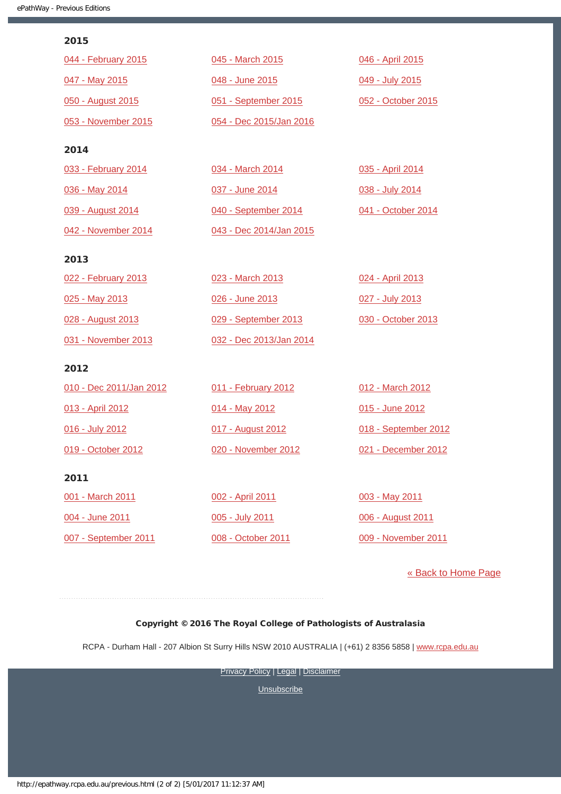### 2015

| 044 - February 2015 | 045 - March 2015        | 046 - April 2015   |
|---------------------|-------------------------|--------------------|
| 047 - May 2015      | 048 - June 2015         | 049 - July 2015    |
| 050 - August 2015   | 051 - September 2015    | 052 - October 2015 |
| 053 - November 2015 | 054 - Dec 2015/Jan 2016 |                    |
| 2014                |                         |                    |
| 033 - February 2014 | 034 - March 2014        | 035 - April 2014   |
| 036 - May 2014      | 037 - June 2014         | 038 - July 2014    |

[040 - September 2014](http://epathway.rcpa.edu.au/previous/040_0914.pdf)

[043 - Dec 2014/Jan 2015](http://epathway.rcpa.edu.au/previous/043_1214.pdf)

[039 - August 2014](http://epathway.rcpa.edu.au/previous/039_0814.pdf) [042 - November 2014](http://epathway.rcpa.edu.au/previous/042_1114.pdf)

### 2013

| 022 - February 2013 | 023 - March 2013        | 024 - April 2013   |
|---------------------|-------------------------|--------------------|
| 025 - May 2013      | 026 - June 2013         | 027 - July 2013    |
| 028 - August 2013   | 029 - September 2013    | 030 - October 2013 |
| 031 - November 2013 | 032 - Dec 2013/Jan 2014 |                    |

### 2012

| 010 - Dec 2011/Jan 2012 | 011 - February 2012 | 012 - March 2012     |
|-------------------------|---------------------|----------------------|
| 013 - April 2012        | 014 - May 2012      | 015 - June 2012      |
| 016 - July 2012         | 017 - August 2012   | 018 - September 2012 |
| 019 - October 2012      | 020 - November 2012 | 021 - December 2012  |
| 2011                    |                     |                      |

[001 - March 2011](http://epathway.rcpa.edu.au/previous/001_0311.pdf) [004 - June 2011](http://epathway.rcpa.edu.au/previous/004_0611.pdf) [007 - September 2011](http://epathway.rcpa.edu.au/previous/007_0911.pdf)

[002 - April 2011](http://epathway.rcpa.edu.au/previous/002_0411.pdf) [005 - July 2011](http://epathway.rcpa.edu.au/previous/005_0711.pdf) [008 - October 2011](http://epathway.rcpa.edu.au/previous/008_1011.pdf) [003 - May 2011](http://epathway.rcpa.edu.au/previous/003_0511.pdf) [006 - August 2011](http://epathway.rcpa.edu.au/previous/006_0811.pdf) [009 - November 2011](http://epathway.rcpa.edu.au/previous/009_1111.pdf)

[041 - October 2014](http://epathway.rcpa.edu.au/previous/041_1014.pdf)

### [« Back to Home Page](http://epathway.rcpa.edu.au/index.html)

### Copyright © 2016 The Royal College of Pathologists of Australasia

RCPA - Durham Hall - 207 Albion St Surry Hills NSW 2010 AUSTRALIA | (+61) 2 8356 5858 | [www.rcpa.edu.au](https://www.rcpa.edu.au/)

**[Privacy Policy](https://www.rcpa.edu.au/Content-Library/Privacy.aspx) | [Legal](https://www.rcpa.edu.au/Legal.aspx) | [Disclaimer](https://www.rcpa.edu.au/Disclaimer.aspx)**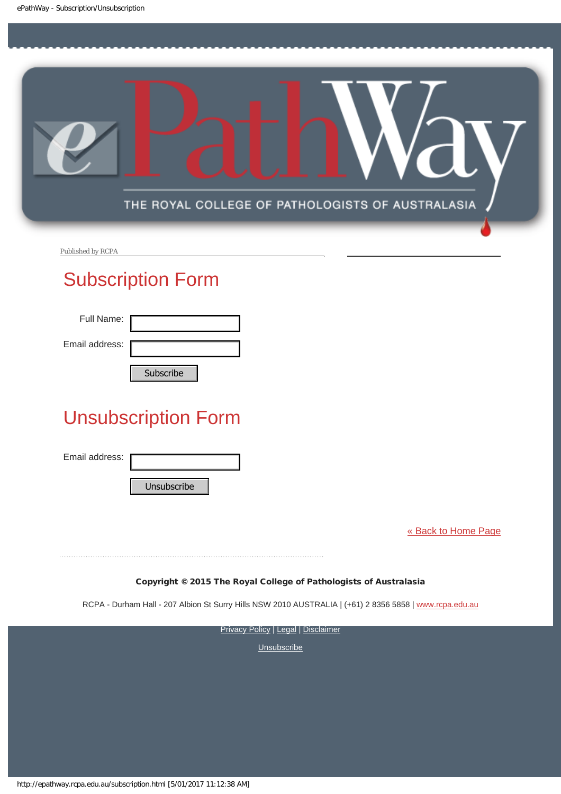<span id="page-7-0"></span>

Published by RCPA

# Subscription Form

Full Name:

Email address:

# Unsubscription Form Subscribe<br>
Unsubscription Form<br>
Email address:<br>
Unsubscribe<br>
Unsubscribe<br>
RCPA - Durham Hall - 207 Albion St Surry Hills<br>
Privacy<br>
Privacy<br>
Nutp://epathway.rcpa.edu.au/subscription.html [5/01/2017 11:12:38 AM]

Email address:

[« Back to Home Page](http://epathway.rcpa.edu.au/index.html)

Copyright © 2015 The Royal College of Pathologists of Australasia

RCPA - Durham Hall - 207 Albion St Surry Hills NSW 2010 AUSTRALIA | (+61) 2 8356 5858 | [www.rcpa.edu.au](http://www.rcpa.edu.au/)

**[Privacy Policy](http://www.rcpa.edu.au/Content-Library/Privacy.aspx) | [Legal](http://www.rcpa.edu.au/Legal.aspx) | [Disclaimer](http://www.rcpa.edu.au/Disclaimer.aspx)**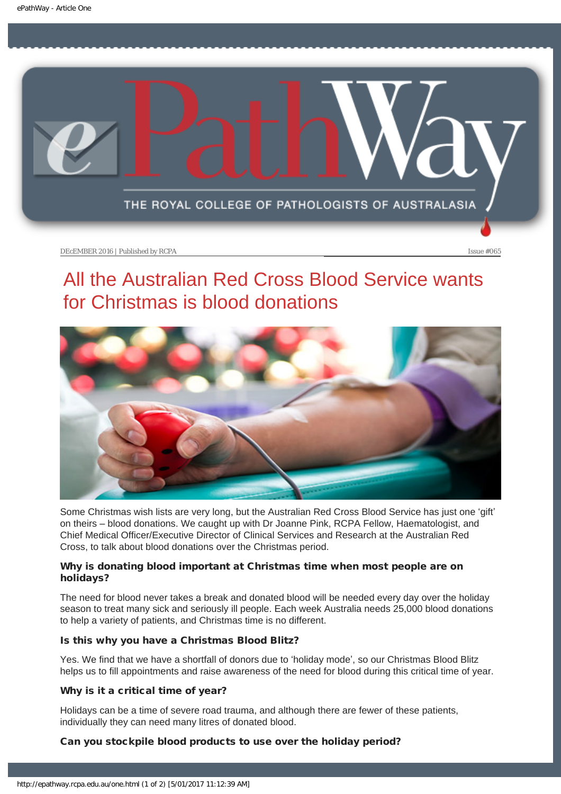<span id="page-8-0"></span>

DEcEMBER 2016 | Published by RCPA Issue #065

# All the Australian Red Cross Blood Service wants for Christmas is blood donations



Some Christmas wish lists are very long, but the Australian Red Cross Blood Service has just one 'gift' on theirs – blood donations. We caught up with Dr Joanne Pink, RCPA Fellow, Haematologist, and Chief Medical Officer/Executive Director of Clinical Services and Research at the Australian Red Cross, to talk about blood donations over the Christmas period.

### Why is donating blood important at Christmas time when most people are on holidays?

The need for blood never takes a break and donated blood will be needed every day over the holiday season to treat many sick and seriously ill people. Each week Australia needs 25,000 blood donations to help a variety of patients, and Christmas time is no different.

### Is this why you have a Christmas Blood Blitz?

Yes. We find that we have a shortfall of donors due to 'holiday mode', so our Christmas Blood Blitz helps us to fill appointments and raise awareness of the need for blood during this critical time of year.

### Why is it a critical time of year?

Holidays can be a time of severe road trauma, and although there are fewer of these patients, individually they can need many litres of donated blood.

### Can you stockpile blood products to use over the holiday period?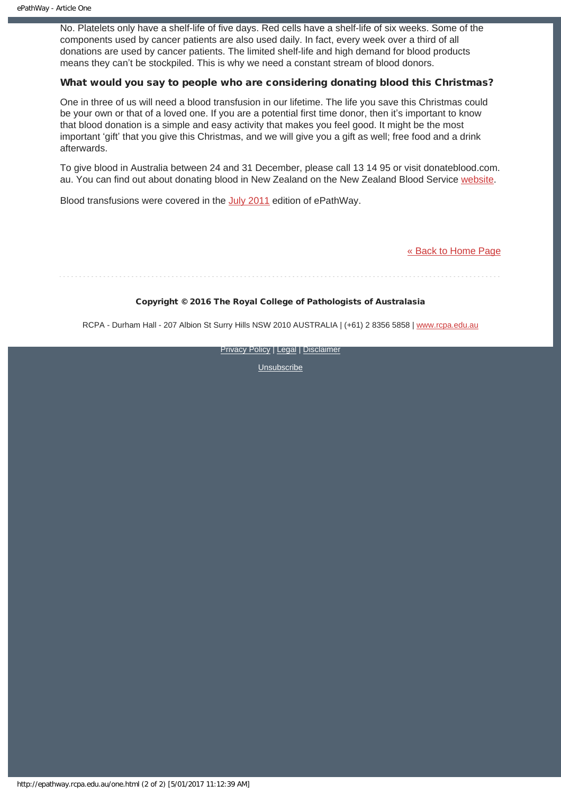No. Platelets only have a shelf-life of five days. Red cells have a shelf-life of six weeks. Some of the components used by cancer patients are also used daily. In fact, every week over a third of all donations are used by cancer patients. The limited shelf-life and high demand for blood products means they can't be stockpiled. This is why we need a constant stream of blood donors.

### What would you say to people who are considering donating blood this Christmas?

One in three of us will need a blood transfusion in our lifetime. The life you save this Christmas could be your own or that of a loved one. If you are a potential first time donor, then it's important to know that blood donation is a simple and easy activity that makes you feel good. It might be the most important 'gift' that you give this Christmas, and we will give you a gift as well; free food and a drink afterwards.

To give blood in Australia between 24 and 31 December, please call 13 14 95 or visit donateblood.com. au. You can find out about donating blood in New Zealand on the New Zealand Blood Service [website.](http://www.nzblood.co.nz/give-blood/donating/am-i-eligible/)

Blood transfusions were covered in the [July 2011](http://www.rcpa.edu.au/getattachment/01f91ec6-1419-405b-8264-c32eb1566799/ePathway-Issue-005.aspx) edition of ePathWay.

[« Back to Home Page](http://epathway.rcpa.edu.au/index.html)

### Copyright © 2016 The Royal College of Pathologists of Australasia

RCPA - Durham Hall - 207 Albion St Surry Hills NSW 2010 AUSTRALIA | (+61) 2 8356 5858 | [www.rcpa.edu.au](https://www.rcpa.edu.au/)

**[Privacy Policy](https://www.rcpa.edu.au/Content-Library/Privacy.aspx) | [Legal](https://www.rcpa.edu.au/Legal.aspx) | [Disclaimer](https://www.rcpa.edu.au/Disclaimer.aspx)**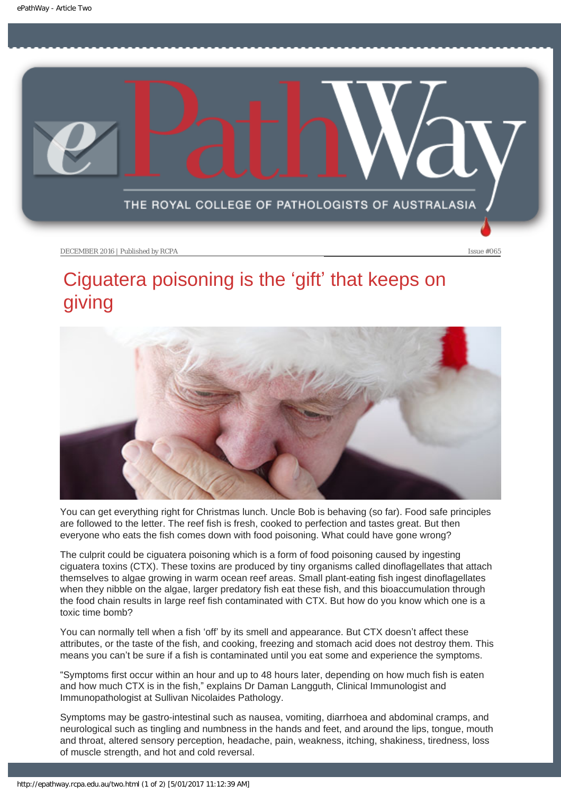<span id="page-10-0"></span>

### DECEMBER 2016 | Published by RCPA Issue #065

# Ciguatera poisoning is the 'gift' that keeps on giving



You can get everything right for Christmas lunch. Uncle Bob is behaving (so far). Food safe principles are followed to the letter. The reef fish is fresh, cooked to perfection and tastes great. But then everyone who eats the fish comes down with food poisoning. What could have gone wrong?

The culprit could be ciguatera poisoning which is a form of food poisoning caused by ingesting ciguatera toxins (CTX). These toxins are produced by tiny organisms called dinoflagellates that attach themselves to algae growing in warm ocean reef areas. Small plant-eating fish ingest dinoflagellates when they nibble on the algae, larger predatory fish eat these fish, and this bioaccumulation through the food chain results in large reef fish contaminated with CTX. But how do you know which one is a toxic time bomb?

You can normally tell when a fish 'off' by its smell and appearance. But CTX doesn't affect these attributes, or the taste of the fish, and cooking, freezing and stomach acid does not destroy them. This means you can't be sure if a fish is contaminated until you eat some and experience the symptoms.

"Symptoms first occur within an hour and up to 48 hours later, depending on how much fish is eaten and how much CTX is in the fish," explains Dr Daman Langguth, Clinical Immunologist and Immunopathologist at Sullivan Nicolaides Pathology.

Symptoms may be gastro-intestinal such as nausea, vomiting, diarrhoea and abdominal cramps, and neurological such as tingling and numbness in the hands and feet, and around the lips, tongue, mouth and throat, altered sensory perception, headache, pain, weakness, itching, shakiness, tiredness, loss of muscle strength, and hot and cold reversal.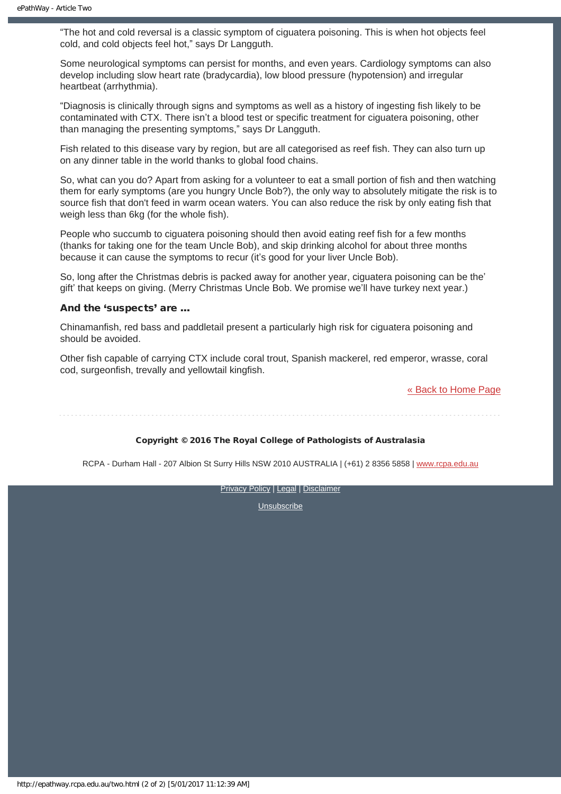"The hot and cold reversal is a classic symptom of ciguatera poisoning. This is when hot objects feel cold, and cold objects feel hot," says Dr Langguth.

Some neurological symptoms can persist for months, and even years. Cardiology symptoms can also develop including slow heart rate (bradycardia), low blood pressure (hypotension) and irregular heartbeat (arrhythmia).

"Diagnosis is clinically through signs and symptoms as well as a history of ingesting fish likely to be contaminated with CTX. There isn't a blood test or specific treatment for ciguatera poisoning, other than managing the presenting symptoms," says Dr Langguth.

Fish related to this disease vary by region, but are all categorised as reef fish. They can also turn up on any dinner table in the world thanks to global food chains.

So, what can you do? Apart from asking for a volunteer to eat a small portion of fish and then watching them for early symptoms (are you hungry Uncle Bob?), the only way to absolutely mitigate the risk is to source fish that don't feed in warm ocean waters. You can also reduce the risk by only eating fish that weigh less than 6kg (for the whole fish).

People who succumb to ciguatera poisoning should then avoid eating reef fish for a few months (thanks for taking one for the team Uncle Bob), and skip drinking alcohol for about three months because it can cause the symptoms to recur (it's good for your liver Uncle Bob).

So, long after the Christmas debris is packed away for another year, ciguatera poisoning can be the' gift' that keeps on giving. (Merry Christmas Uncle Bob. We promise we'll have turkey next year.)

### And the 'suspects' are …

Chinamanfish, red bass and paddletail present a particularly high risk for ciguatera poisoning and should be avoided.

Other fish capable of carrying CTX include coral trout, Spanish mackerel, red emperor, wrasse, coral cod, surgeonfish, trevally and yellowtail kingfish.

[« Back to Home Page](http://epathway.rcpa.edu.au/index.html)

### Copyright © 2016 The Royal College of Pathologists of Australasia

RCPA - Durham Hall - 207 Albion St Surry Hills NSW 2010 AUSTRALIA | (+61) 2 8356 5858 | [www.rcpa.edu.au](https://www.rcpa.edu.au/)

[Privacy Policy](https://www.rcpa.edu.au/Content-Library/Privacy.aspx) | [Legal](https://www.rcpa.edu.au/Legal.aspx) | [Disclaimer](https://www.rcpa.edu.au/Disclaimer.aspx)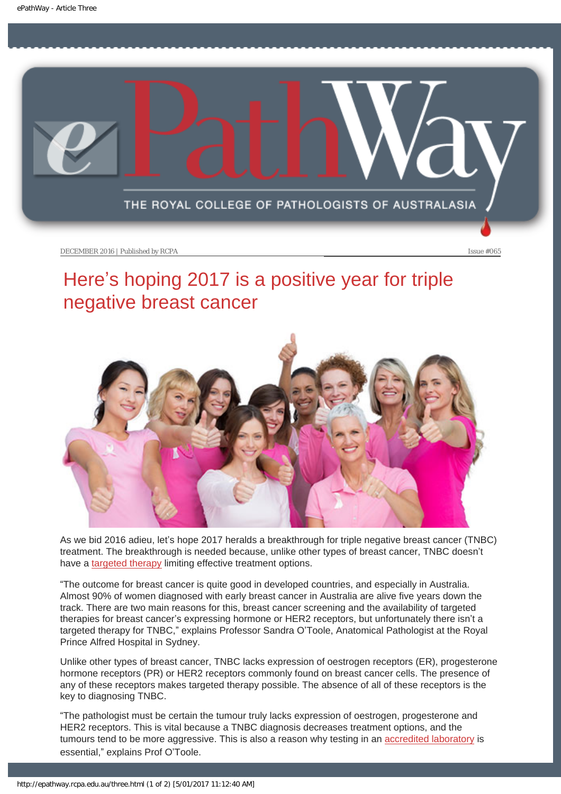<span id="page-12-0"></span>

DECEMBER 2016 | Published by RCPA Issue #065

# Here's hoping 2017 is a positive year for triple negative breast cancer



As we bid 2016 adieu, let's hope 2017 heralds a breakthrough for triple negative breast cancer (TNBC) treatment. The breakthrough is needed because, unlike other types of breast cancer, TNBC doesn't have a [targeted therapy](http://www.rcpa.edu.au/getattachment/250f7b77-7ffc-47ad-aa0f-5b8b1856bddf/ePathway-Issue-013.aspx) limiting effective treatment options.

"The outcome for breast cancer is quite good in developed countries, and especially in Australia. Almost 90% of women diagnosed with early breast cancer in Australia are alive five years down the track. There are two main reasons for this, breast cancer screening and the availability of targeted therapies for breast cancer's expressing hormone or HER2 receptors, but unfortunately there isn't a targeted therapy for TNBC," explains Professor Sandra O'Toole, Anatomical Pathologist at the Royal Prince Alfred Hospital in Sydney.

Unlike other types of breast cancer, TNBC lacks expression of oestrogen receptors (ER), progesterone hormone receptors (PR) or HER2 receptors commonly found on breast cancer cells. The presence of any of these receptors makes targeted therapy possible. The absence of all of these receptors is the key to diagnosing TNBC.

"The pathologist must be certain the tumour truly lacks expression of oestrogen, progesterone and HER2 receptors. This is vital because a TNBC diagnosis decreases treatment options, and the tumours tend to be more aggressive. This is also a reason why testing in an [accredited laboratory](https://www.rcpa.edu.au/Patients/Lab-Accreditation) is essential," explains Prof O'Toole.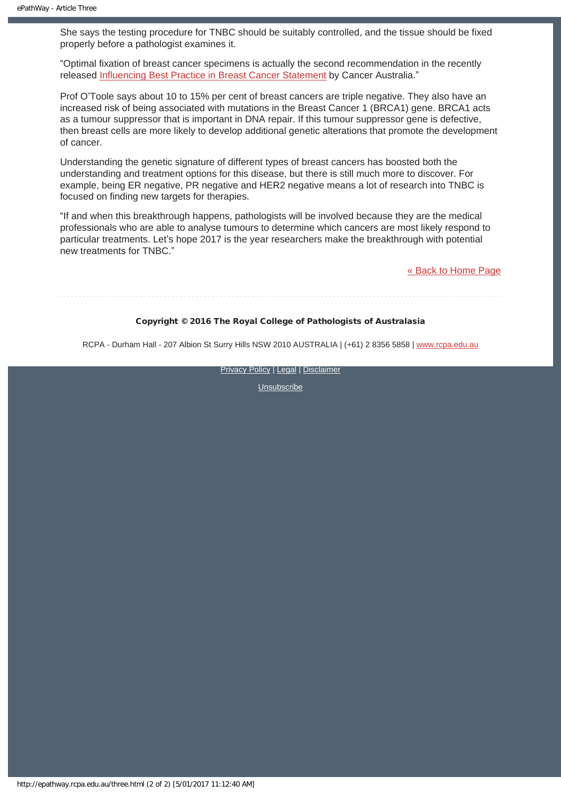She says the testing procedure for TNBC should be suitably controlled, and the tissue should be fixed properly before a pathologist examines it.

"Optimal fixation of breast cancer specimens is actually the second recommendation in the recently released [Influencing Best Practice in Breast Cancer Statement](https://thestatement.canceraustralia.gov.au/the-practices/practice-2) by Cancer Australia."

Prof O'Toole says about 10 to 15% per cent of breast cancers are triple negative. They also have an increased risk of being associated with mutations in the Breast Cancer 1 (BRCA1) gene. BRCA1 acts as a tumour suppressor that is important in DNA repair. If this tumour suppressor gene is defective, then breast cells are more likely to develop additional genetic alterations that promote the development of cancer.

Understanding the genetic signature of different types of breast cancers has boosted both the understanding and treatment options for this disease, but there is still much more to discover. For example, being ER negative, PR negative and HER2 negative means a lot of research into TNBC is focused on finding new targets for therapies.

"If and when this breakthrough happens, pathologists will be involved because they are the medical professionals who are able to analyse tumours to determine which cancers are most likely respond to particular treatments. Let's hope 2017 is the year researchers make the breakthrough with potential new treatments for TNBC."

[« Back to Home Page](http://epathway.rcpa.edu.au/index.html)

### Copyright © 2016 The Royal College of Pathologists of Australasia

RCPA - Durham Hall - 207 Albion St Surry Hills NSW 2010 AUSTRALIA | (+61) 2 8356 5858 | [www.rcpa.edu.au](https://www.rcpa.edu.au/)

**[Privacy Policy](https://www.rcpa.edu.au/Content-Library/Privacy.aspx) | [Legal](https://www.rcpa.edu.au/Legal.aspx) | [Disclaimer](https://www.rcpa.edu.au/Disclaimer.aspx)**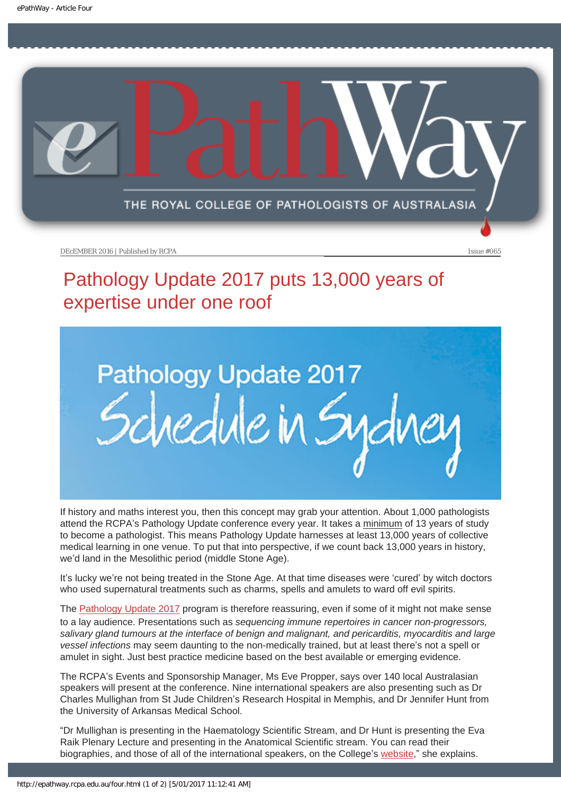<span id="page-14-0"></span>

DEcEMBER 2016 | Published by RCPA Issue #065

# Pathology Update 2017 puts 13,000 years of expertise under one roof



If history and maths interest you, then this concept may grab your attention. About 1,000 pathologists attend the RCPA's Pathology Update conference every year. It takes a minimum of 13 years of study to become a pathologist. This means Pathology Update harnesses at least 13,000 years of collective medical learning in one venue. To put that into perspective, if we count back 13,000 years in history, we'd land in the Mesolithic period (middle Stone Age).

It's lucky we're not being treated in the Stone Age. At that time diseases were 'cured' by witch doctors who used supernatural treatments such as charms, spells and amulets to ward off evil spirits.

The [Pathology Update 2017](https://www.rcpa.edu.au/Events/Pathology-Update) program is therefore reassuring, even if some of it might not make sense to a lay audience. Presentations such as *sequencing immune repertoires in cancer non-progressors, salivary gland tumours at the interface of benign and malignant, and pericarditis, myocarditis and large vessel infections* may seem daunting to the non-medically trained, but at least there's not a spell or amulet in sight. Just best practice medicine based on the best available or emerging evidence.

The RCPA's Events and Sponsorship Manager, Ms Eve Propper, says over 140 local Australasian speakers will present at the conference. Nine international speakers are also presenting such as Dr Charles Mullighan from St Jude Children's Research Hospital in Memphis, and Dr Jennifer Hunt from the University of Arkansas Medical School.

"Dr Mullighan is presenting in the Haematology Scientific Stream, and Dr Hunt is presenting the Eva Raik Plenary Lecture and presenting in the Anatomical Scientific stream. You can read their biographies, and those of all of the international speakers, on the College's [website,](https://www.rcpa.edu.au/Events/Pathology-Update/International-Guest-Speakers)" she explains.